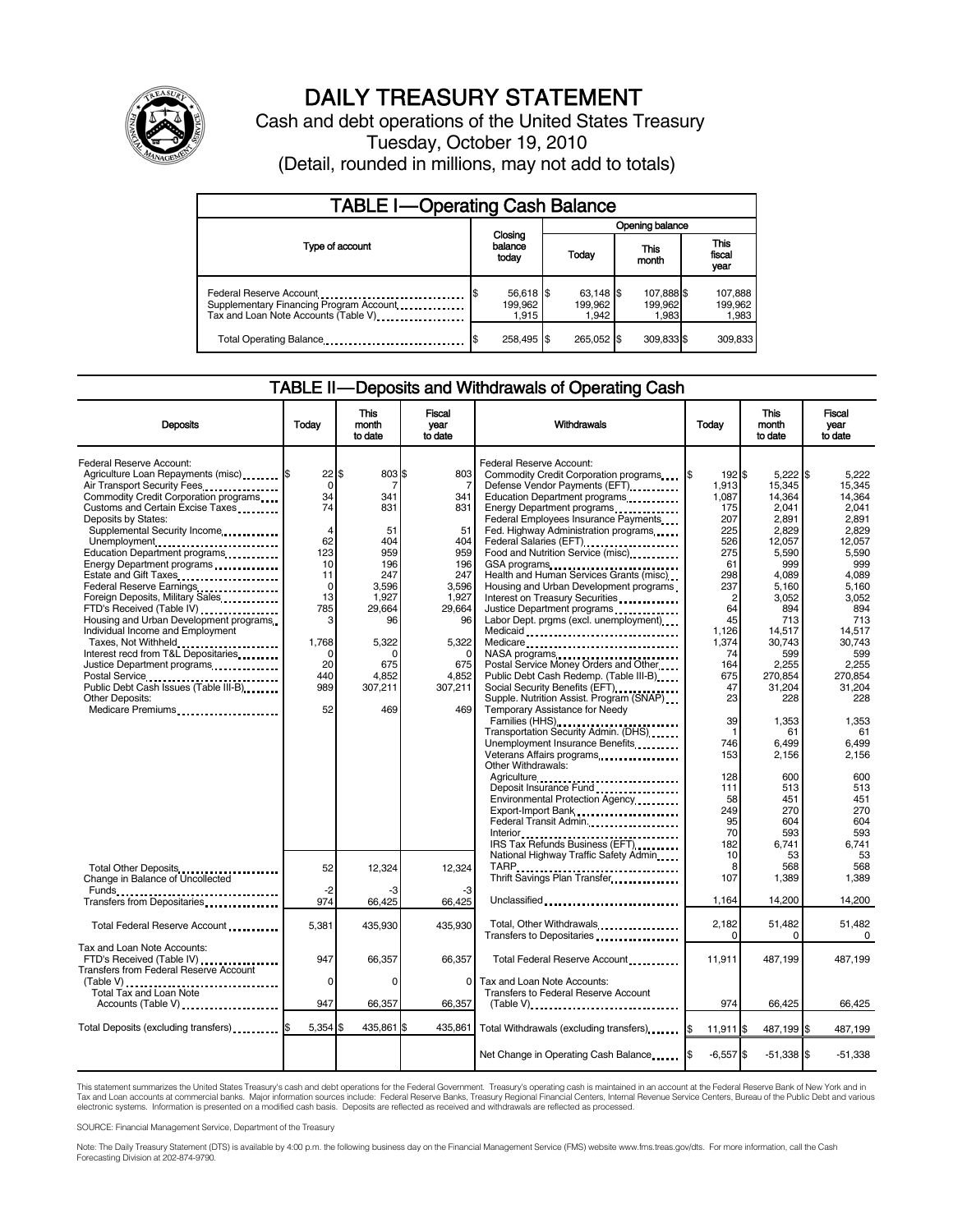

# DAILY TREASURY STATEMENT

Cash and debt operations of the United States Treasury Tuesday, October 19, 2010 (Detail, rounded in millions, may not add to totals)

| <b>TABLE I-Operating Cash Balance</b>                                                                      |                               |                               |                                |                               |  |  |
|------------------------------------------------------------------------------------------------------------|-------------------------------|-------------------------------|--------------------------------|-------------------------------|--|--|
|                                                                                                            |                               | Opening balance               |                                |                               |  |  |
| Type of account                                                                                            | Closing<br>balance<br>today   | Today                         | This<br>month                  | <b>This</b><br>fiscal<br>year |  |  |
| Federal Reserve Account<br>Supplementary Financing Program Account<br>Tax and Loan Note Accounts (Table V) | 56,618 \$<br>199.962<br>1.915 | 63.148 \$<br>199.962<br>1.942 | 107,888 \$<br>199.962<br>1,983 | 107,888<br>199,962<br>1,983   |  |  |
| Total Operating Balance                                                                                    | 258,495 \$                    | 265.052 \$                    | 309,833 \$                     | 309,833                       |  |  |

#### TABLE II — Deposits and Withdrawals of Operating Cash

| <b>Deposits</b>                                                                                                                                                                          | Todav                               | This<br>month<br>to date              | Fiscal<br>year<br>to date                    | Withdrawals                                                                                                                                                                                                                                                     | Todav                                    | <b>This</b><br>month<br>to date                       | Fiscal<br>vear<br>to date                             |
|------------------------------------------------------------------------------------------------------------------------------------------------------------------------------------------|-------------------------------------|---------------------------------------|----------------------------------------------|-----------------------------------------------------------------------------------------------------------------------------------------------------------------------------------------------------------------------------------------------------------------|------------------------------------------|-------------------------------------------------------|-------------------------------------------------------|
| Federal Reserve Account:<br>Agriculture Loan Repayments (misc) <b>\$</b><br>Air Transport Security Fees<br>Commodity Credit Corporation programs<br>Customs and Certain Excise Taxes     | 22<br>$\mathbf 0$<br>34<br>74       | \$.<br>803 \$<br>7<br>341<br>831      | 803<br>7<br>341<br>831                       | Federal Reserve Account:<br>Commodity Credit Corporation programs<br>Defense Vendor Payments (EFT)<br>Education Department programs<br>Energy Department programs                                                                                               | 192 \$<br>1.913<br>1,087<br>175          | $5,222$ \$<br>15.345<br>14,364<br>2,041               | 5.222<br>15.345<br>14,364<br>2.041                    |
| Deposits by States:<br>Supplemental Security Income<br>Unemployment<br>Education Department programs<br>Energy Department programs                                                       | $\overline{4}$<br>62<br>123<br>10   | 51<br>404<br>959<br>196               | 51<br>404<br>959<br>196                      | Federal Employees Insurance Payments<br>Fed. Highway Administration programs<br>Federal Salaries (EFT)<br>Federal Salaries (EFT)<br>Food and Nutrition Service (misc)<br>GSA programs                                                                           | 207<br>225<br>526<br>275<br>61           | 2,891<br>2.829<br>12,057<br>5,590<br>999              | 2,891<br>2.829<br>12,057<br>5,590<br>999              |
| Estate and Gift Taxes<br>Federal Reserve Earnings<br>Foreign Deposits, Military Sales<br>FTD's Received (Table IV)<br>Housing and Urban Development programs                             | 11<br>$\mathbf 0$<br>13<br>785<br>3 | 247<br>3,596<br>1,927<br>29,664<br>96 | 247<br>3,596<br>1,927<br>29,664<br>96        | Health and Human Services Grants (misc)<br>Housing and Urban Development programs<br>Interest on Treasury Securities<br>Justice Department programs<br>Labor Dept. prgms (excl. unemployment)                                                                   | 298<br>237<br>$\overline{2}$<br>64<br>45 | 4,089<br>5,160<br>3,052<br>894<br>713                 | 4.089<br>5,160<br>3,052<br>894<br>713                 |
| Individual Income and Employment<br>Taxes, Not Withheld<br>Interest recd from T&L Depositaries<br>Justice Department programs<br>Postal Service<br>Public Debt Cash Issues (Table III-B) | 1,768<br>∩<br>20<br>440<br>989      | 5,322<br>n<br>675<br>4,852<br>307,211 | 5,322<br>$\Omega$<br>675<br>4,852<br>307,211 | Medicaid<br>Medicare<br>NASA programs<br>Postal Service Money Orders and Other<br>Public Debt Cash Redemp. (Table III-B)                                                                                                                                        | 1,126<br>1,374<br>74<br>164<br>675<br>47 | 14,517<br>30,743<br>599<br>2,255<br>270,854<br>31,204 | 14,517<br>30.743<br>599<br>2,255<br>270,854<br>31.204 |
| <b>Other Deposits:</b><br>Medicare Premiums                                                                                                                                              | 52                                  | 469                                   | 469                                          | Supple. Nutrition Assist. Program (SNAP)<br>Temporary Assistance for Needy<br>Families (HHS)<br>Transportation Security Admin. (DHS)<br>Unemployment Insurance Benefits<br>Veterans Affairs programs<br>                                                        | 23<br>39<br>746<br>153                   | 228<br>1,353<br>61<br>6.499<br>2,156                  | 228<br>1,353<br>61<br>6.499<br>2,156                  |
|                                                                                                                                                                                          |                                     |                                       |                                              | Other Withdrawals:<br>Agriculture<br>Deposit Insurance Fund<br>Environmental Protection Agency<br>Export-Import Bank<br>1999: 1999: 1999: 1999: 1999: 1999: 1999: 1999: 1999: 1999: 1999: 1999: 1999: 1999: 1999: 1999: 1999: 1999: 1<br>Federal Transit Admin. | 128<br>111<br>58<br>249<br>95<br>70      | 600<br>513<br>451<br>270<br>604                       | 600<br>513<br>451<br>270<br>604                       |
| Total Other Deposits<br>Change in Balance of Uncollected                                                                                                                                 | 52                                  | 12.324                                | 12.324                                       | IRS Tax Refunds Business (EFT)<br>National Highway Traffic Safety Admin                                                                                                                                                                                         | 182<br>10<br>8<br>107                    | 593<br>6,741<br>53<br>568<br>1,389                    | 593<br>6,741<br>53<br>568<br>1,389                    |
| Transfers from Depositaries                                                                                                                                                              | $-2$<br>974                         | 66,425                                | -3<br>66,425                                 | Unclassified                                                                                                                                                                                                                                                    | 1,164                                    | 14,200                                                | 14,200                                                |
| Total Federal Reserve Account                                                                                                                                                            | 5,381                               | 435,930                               | 435,930                                      | Total, Other Withdrawals<br>Transfers to Depositaries                                                                                                                                                                                                           | 2,182<br>$\Omega$                        | 51,482<br>$\Omega$                                    | 51,482<br>$\Omega$                                    |
| Tax and Loan Note Accounts:<br>FTD's Received (Table IV)<br>Transfers from Federal Reserve Account                                                                                       | 947                                 | 66,357                                | 66,357                                       | Total Federal Reserve Account                                                                                                                                                                                                                                   | 11,911                                   | 487.199                                               | 487,199                                               |
| (Table V)<br>Total Tax and Loan Note<br>Accounts (Table V)                                                                                                                               | $\Omega$<br>947                     | $\Omega$<br>66,357                    | $\Omega$<br>66,357                           | Tax and Loan Note Accounts:<br>Transfers to Federal Reserve Account<br>$(Table V)$ , $\ldots$ , $\ldots$ , $\ldots$ , $\ldots$ , $\ldots$ , $\ldots$ , $\ldots$ , $\ldots$ , $\ldots$                                                                           | 974                                      | 66,425                                                | 66,425                                                |
| Total Deposits (excluding transfers) [1000]                                                                                                                                              | 5,354                               | 435,861                               | 435,861                                      | Total Withdrawals (excluding transfers)                                                                                                                                                                                                                         | 11,911 \$<br>I\$                         | 487,199 \$                                            | 487,199                                               |
|                                                                                                                                                                                          |                                     |                                       |                                              | Net Change in Operating Cash Balance                                                                                                                                                                                                                            | $-6,557$ \$                              | $-51,338$ \$                                          | $-51,338$                                             |

This statement summarizes the United States Treasury's cash and debt operations for the Federal Government. Treasury's operating cash is maintained in an account at the Federal Reserve Bank of New York and in<br>Tax and Loan electronic systems. Information is presented on a modified cash basis. Deposits are reflected as received and withdrawals are reflected as processed.

SOURCE: Financial Management Service, Department of the Treasury

Note: The Daily Treasury Statement (DTS) is available by 4:00 p.m. the following business day on the Financial Management Service (FMS) website www.fms.treas.gov/dts. For more information, call the Cash Forecasting Division at 202-874-9790.